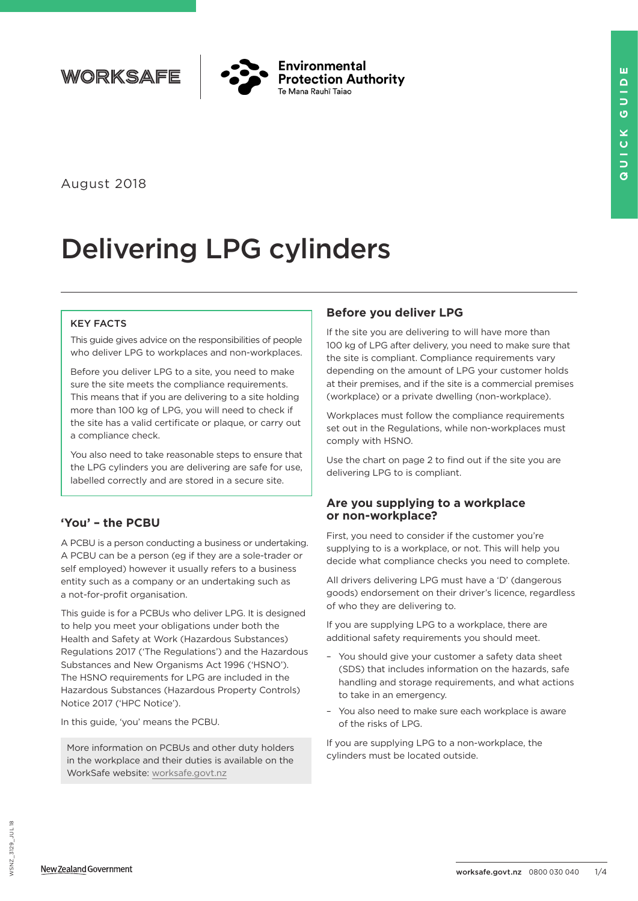



August 2018

# Delivering LPG cylinders

#### KEY FACTS

This guide gives advice on the responsibilities of people who deliver LPG to workplaces and non-workplaces.

Before you deliver LPG to a site, you need to make sure the site meets the compliance requirements. This means that if you are delivering to a site holding more than 100 kg of LPG, you will need to check if the site has a valid certificate or plaque, or carry out a compliance check.

You also need to take reasonable steps to ensure that the LPG cylinders you are delivering are safe for use, labelled correctly and are stored in a secure site.

# **'You' – the PCBU**

A PCBU is a person conducting a business or undertaking. A PCBU can be a person (eg if they are a sole-trader or self employed) however it usually refers to a business entity such as a company or an undertaking such as a not-for-profit organisation.

This guide is for a PCBUs who deliver LPG. It is designed to help you meet your obligations under both the Health and Safety at Work (Hazardous Substances) Regulations 2017 ('The Regulations') and the Hazardous Substances and New Organisms Act 1996 ('HSNO'). The HSNO requirements for LPG are included in the Hazardous Substances (Hazardous Property Controls) Notice 2017 ('HPC Notice').

In this guide, 'you' means the PCBU.

More information on PCBUs and other duty holders in the workplace and their duties is available on the WorkSafe website: [worksafe.govt.nz](http://worksafe.govt.nz)

# **Before you deliver LPG**

If the site you are delivering to will have more than 100 kg of LPG after delivery, you need to make sure that the site is compliant. Compliance requirements vary depending on the amount of LPG your customer holds at their premises, and if the site is a commercial premises (workplace) or a private dwelling (non-workplace).

Workplaces must follow the compliance requirements set out in the Regulations, while non-workplaces must comply with HSNO.

Use the chart on page 2 to find out if the site you are delivering LPG to is compliant.

### **Are you supplying to a workplace or non-workplace?**

First, you need to consider if the customer you're supplying to is a workplace, or not. This will help you decide what compliance checks you need to complete.

All drivers delivering LPG must have a 'D' (dangerous goods) endorsement on their driver's licence, regardless of who they are delivering to.

If you are supplying LPG to a workplace, there are additional safety requirements you should meet.

- You should give your customer a safety data sheet (SDS) that includes information on the hazards, safe handling and storage requirements, and what actions to take in an emergency.
- You also need to make sure each workplace is aware of the risks of LPG.

If you are supplying LPG to a non-workplace, the cylinders must be located outside.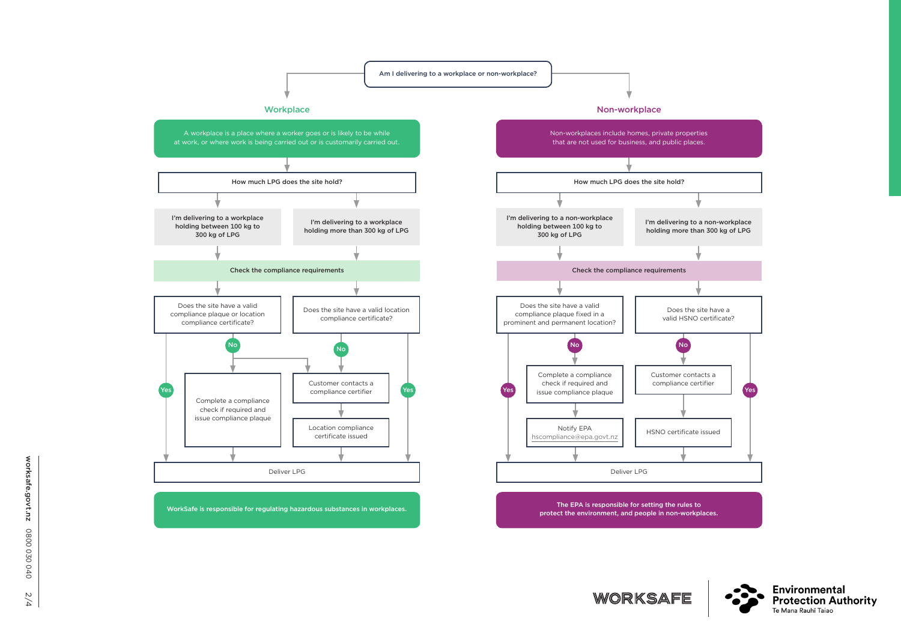



WORKSAFE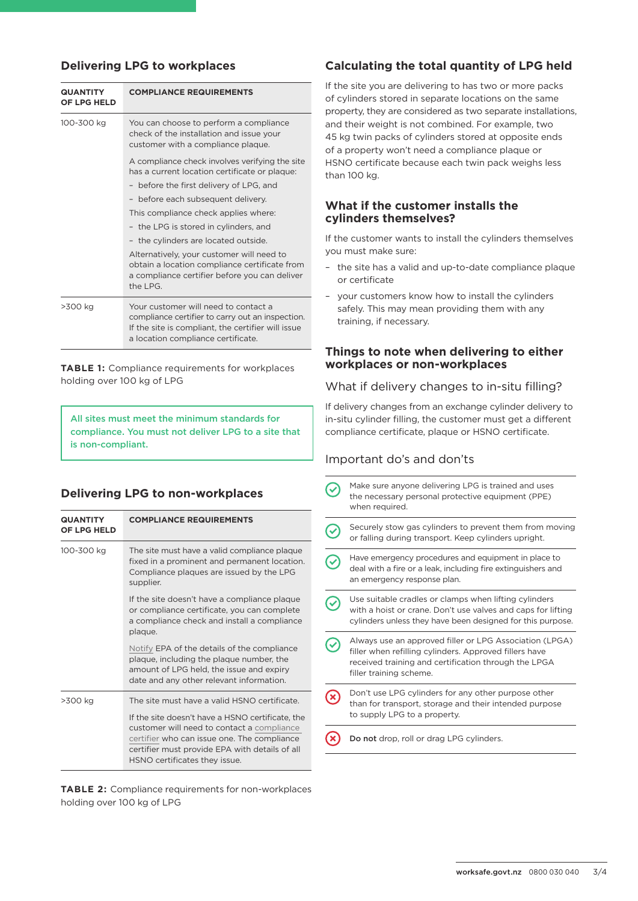## **Delivering LPG to workplaces**

| <b>QUANTITY</b><br>OF LPG HELD | <b>COMPLIANCE REQUIREMENTS</b>                                                                                                                                                       |
|--------------------------------|--------------------------------------------------------------------------------------------------------------------------------------------------------------------------------------|
| 100-300 kg                     | You can choose to perform a compliance<br>check of the installation and issue your<br>customer with a compliance plaque.                                                             |
|                                | A compliance check involves verifying the site<br>has a current location certificate or plaque:                                                                                      |
|                                | - before the first delivery of LPG, and                                                                                                                                              |
|                                | - before each subsequent delivery.                                                                                                                                                   |
|                                | This compliance check applies where:                                                                                                                                                 |
|                                | - the LPG is stored in cylinders, and                                                                                                                                                |
|                                | - the cylinders are located outside.                                                                                                                                                 |
|                                | Alternatively, your customer will need to<br>obtain a location compliance certificate from<br>a compliance certifier before you can deliver<br>the LPG.                              |
| >300 kg                        | Your customer will need to contact a<br>compliance certifier to carry out an inspection.<br>If the site is compliant, the certifier will issue<br>a location compliance certificate. |

**TABLE 1:** Compliance requirements for workplaces holding over 100 kg of LPG

All sites must meet the minimum standards for compliance. You must not deliver LPG to a site that is non-compliant.

## **Delivering LPG to non-workplaces**

| <b>QUANTITY</b><br>OF LPG HELD | <b>COMPLIANCE REQUIREMENTS</b>                                                                                                                                                                                                                                                   |
|--------------------------------|----------------------------------------------------------------------------------------------------------------------------------------------------------------------------------------------------------------------------------------------------------------------------------|
| 100-300 kg                     | The site must have a valid compliance plaque<br>fixed in a prominent and permanent location.<br>Compliance plaques are issued by the LPG<br>supplier.                                                                                                                            |
|                                | If the site doesn't have a compliance plaque<br>or compliance certificate, you can complete<br>a compliance check and install a compliance<br>plaque.                                                                                                                            |
|                                | Notify EPA of the details of the compliance<br>plaque, including the plaque number, the<br>amount of LPG held, the issue and expiry<br>date and any other relevant information.                                                                                                  |
| >300 kg                        | The site must have a valid HSNO certificate.<br>If the site doesn't have a HSNO certificate, the<br>customer will need to contact a compliance<br>certifier who can issue one. The compliance<br>certifier must provide EPA with details of all<br>HSNO certificates they issue. |

**TABLE 2:** Compliance requirements for non-workplaces holding over 100 kg of LPG

## **Calculating the total quantity of LPG held**

If the site you are delivering to has two or more packs of cylinders stored in separate locations on the same property, they are considered as two separate installations, and their weight is not combined. For example, two 45 kg twin packs of cylinders stored at opposite ends of a property won't need a compliance plaque or HSNO certificate because each twin pack weighs less than 100 kg.

#### **What if the customer installs the cylinders themselves?**

If the customer wants to install the cylinders themselves you must make sure:

- the site has a valid and up-to-date compliance plaque or certificate
- your customers know how to install the cylinders safely. This may mean providing them with any training, if necessary.

#### **Things to note when delivering to either workplaces or non-workplaces**

### What if delivery changes to in-situ filling?

If delivery changes from an exchange cylinder delivery to in-situ cylinder filling, the customer must get a different compliance certificate, plaque or HSNO certificate.

#### Important do's and don'ts

| Make sure anyone delivering LPG is trained and uses<br>the necessary personal protective equipment (PPE)<br>when required.                                                                           |
|------------------------------------------------------------------------------------------------------------------------------------------------------------------------------------------------------|
| Securely stow gas cylinders to prevent them from moving<br>or falling during transport. Keep cylinders upright.                                                                                      |
| Have emergency procedures and equipment in place to<br>deal with a fire or a leak, including fire extinguishers and<br>an emergency response plan.                                                   |
| Use suitable cradles or clamps when lifting cylinders<br>with a hoist or crane. Don't use valves and caps for lifting<br>cylinders unless they have been designed for this purpose.                  |
| Always use an approved filler or LPG Association (LPGA)<br>filler when refilling cylinders. Approved fillers have<br>received training and certification through the LPGA<br>filler training scheme. |
| Don't use LPG cylinders for any other purpose other<br>than for transport, storage and their intended purpose<br>to supply LPG to a property.                                                        |
| Do not drop, roll or drag LPG cylinders.                                                                                                                                                             |